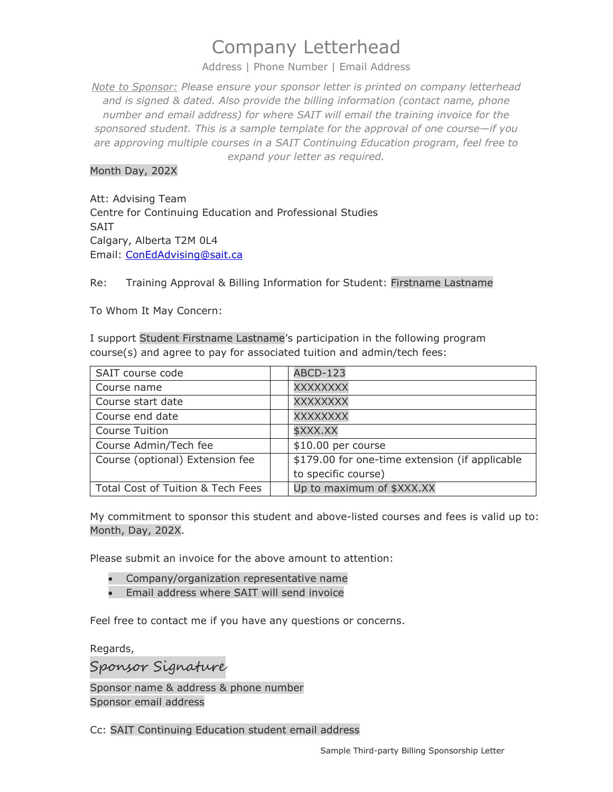## Company Letterhead

Address | Phone Number | Email Address

*Note to Sponsor: Please ensure your sponsor letter is printed on company letterhead and is signed & dated. Also provide the billing information (contact name, phone number and email address) for where SAIT will email the training invoice for the sponsored student. This is a sample template for the approval of one course—if you are approving multiple courses in a SAIT Continuing Education program, feel free to expand your letter as required.*

## Month Day, 202X

Att: Advising Team Centre for Continuing Education and Professional Studies SAIT Calgary, Alberta T2M 0L4 Email: [ConEdAdvising@sait.ca](mailto:ConEdAdvising@sait.ca)

Re: Training Approval & Billing Information for Student: Firstname Lastname

To Whom It May Concern:

I support Student Firstname Lastname's participation in the following program course(s) and agree to pay for associated tuition and admin/tech fees:

| SAIT course code                  | <b>ABCD-123</b>                                |
|-----------------------------------|------------------------------------------------|
| Course name                       | XXXXXXXX                                       |
| Course start date                 | XXXXXXXX                                       |
| Course end date                   | XXXXXXXX                                       |
| <b>Course Tuition</b>             | \$XXX.XX                                       |
| Course Admin/Tech fee             | \$10.00 per course                             |
| Course (optional) Extension fee   | \$179.00 for one-time extension (if applicable |
|                                   | to specific course)                            |
| Total Cost of Tuition & Tech Fees | Up to maximum of \$XXX.XX                      |

My commitment to sponsor this student and above-listed courses and fees is valid up to: Month, Day, 202X.

Please submit an invoice for the above amount to attention:

- Company/organization representative name
- Email address where SAIT will send invoice

Feel free to contact me if you have any questions or concerns.

Regards,

Sponsor Signature Sponsor name & address & phone number

Sponsor email address

Cc: SAIT Continuing Education student email address